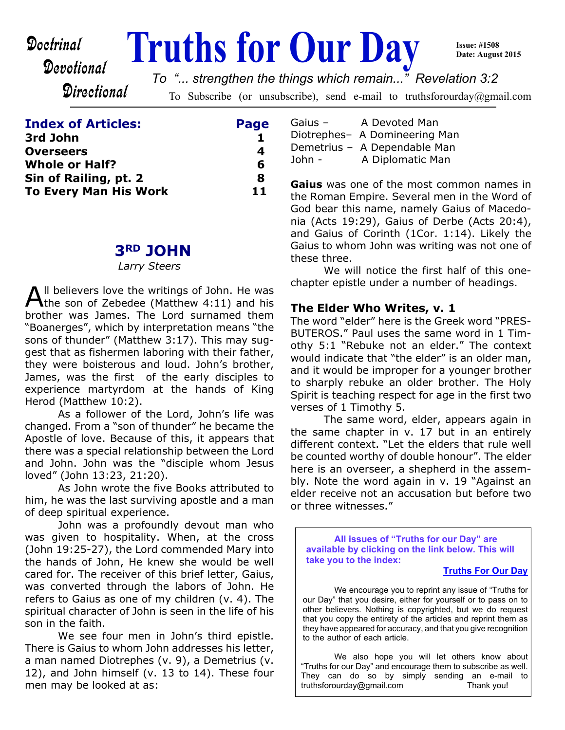# **Doctrinal** Truths for Our Day

**Issue: #1508 Date: August 2015**

Devotional Directional

*To "... strengthen the things which remain..." Revelation 3:2*

To Subscribe (or unsubscribe), send e-mail to truthsforourday@gmail.com

# **Index of Articles: Page**

| 3rd John                     |    |
|------------------------------|----|
| <b>Overseers</b>             |    |
| <b>Whole or Half?</b>        | 6  |
| Sin of Railing, pt. 2        | Я  |
| <b>To Every Man His Work</b> | 11 |

# **3RD JOHN**

*Larry Steers*

All believers love the writings of John. He was<br>the son of Zebedee (Matthew 4:11) and his Il believers love the writings of John. He was brother was James. The Lord surnamed them "Boanerges", which by interpretation means "the sons of thunder" (Matthew 3:17). This may suggest that as fishermen laboring with their father, they were boisterous and loud. John's brother, James, was the first of the early disciples to experience martyrdom at the hands of King Herod (Matthew 10:2).

 As a follower of the Lord, John's life was changed. From a "son of thunder" he became the Apostle of love. Because of this, it appears that there was a special relationship between the Lord and John. John was the "disciple whom Jesus loved" (John 13:23, 21:20).

 As John wrote the five Books attributed to him, he was the last surviving apostle and a man of deep spiritual experience.

 John was a profoundly devout man who was given to hospitality. When, at the cross (John 19:25-27), the Lord commended Mary into the hands of John, He knew she would be well cared for. The receiver of this brief letter, Gaius, was converted through the labors of John. He refers to Gaius as one of my children (v. 4). The spiritual character of John is seen in the life of his son in the faith.

 We see four men in John's third epistle. There is Gaius to whom John addresses his letter, a man named Diotrephes (v. 9), a Demetrius (v. 12), and John himself (v. 13 to 14). These four men may be looked at as:

| Gaius $-$ | A Devoted Man                 |
|-----------|-------------------------------|
|           | Diotrephes- A Domineering Man |
|           | Demetrius - A Dependable Man  |
| John $-$  | A Diplomatic Man              |

**Gaius** was one of the most common names in the Roman Empire. Several men in the Word of God bear this name, namely Gaius of Macedonia (Acts 19:29), Gaius of Derbe (Acts 20:4), and Gaius of Corinth (1Cor. 1:14). Likely the Gaius to whom John was writing was not one of these three.

 We will notice the first half of this onechapter epistle under a number of headings.

#### **The Elder Who Writes, v. 1**

The word "elder" here is the Greek word "PRES-BUTEROS." Paul uses the same word in 1 Timothy 5:1 "Rebuke not an elder." The context would indicate that "the elder" is an older man, and it would be improper for a younger brother to sharply rebuke an older brother. The Holy Spirit is teaching respect for age in the first two verses of 1 Timothy 5.

 The same word, elder, appears again in the same chapter in v. 17 but in an entirely different context. "Let the elders that rule well be counted worthy of double honour". The elder here is an overseer, a shepherd in the assembly. Note the word again in v. 19 "Against an elder receive not an accusation but before two or three witnesses."

**All issues of "Truths for our Day" are available by clicking on the link below. This will take you to the index:**

#### **[Truths For Our Day](http://truthsforourday.com)**

 We encourage you to reprint any issue of "Truths for our Day" that you desire, either for yourself or to pass on to other believers. Nothing is copyrighted, but we do request that you copy the entirety of the articles and reprint them as they have appeared for accuracy, and that you give recognition to the author of each article.

 We also hope you will let others know about "Truths for our Day" and encourage them to subscribe as well. They can do so by simply sending an e-mail to truthsforourday@gmail.com Thank you!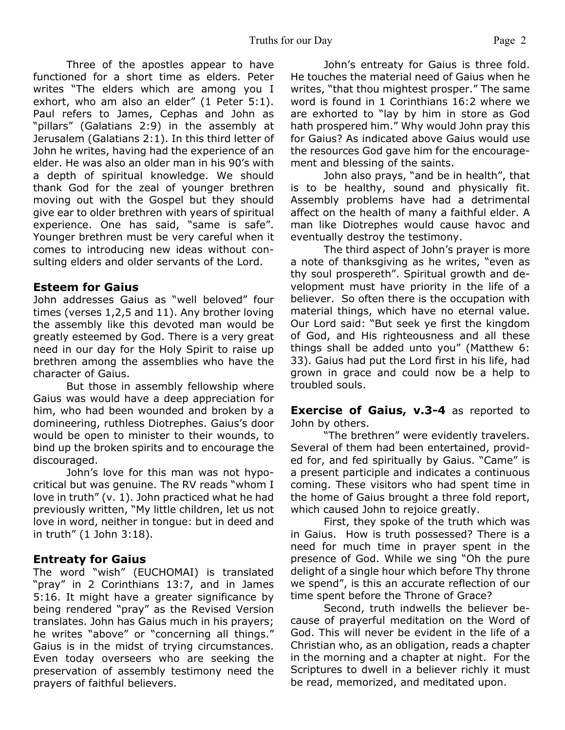Three of the apostles appear to have functioned for a short time as elders. Peter writes "The elders which are among you I exhort, who am also an elder" (1 Peter 5:1). Paul refers to James, Cephas and John as "pillars" (Galatians 2:9) in the assembly at Jerusalem (Galatians 2:1). In this third letter of John he writes, having had the experience of an elder. He was also an older man in his 90's with a depth of spiritual knowledge. We should thank God for the zeal of younger brethren moving out with the Gospel but they should give ear to older brethren with years of spiritual experience. One has said, "same is safe". Younger brethren must be very careful when it comes to introducing new ideas without consulting elders and older servants of the Lord.

#### **Esteem for Gaius**

John addresses Gaius as "well beloved" four times (verses 1,2,5 and 11). Any brother loving the assembly like this devoted man would be greatly esteemed by God. There is a very great need in our day for the Holy Spirit to raise up brethren among the assemblies who have the character of Gaius.

 But those in assembly fellowship where Gaius was would have a deep appreciation for him, who had been wounded and broken by a domineering, ruthless Diotrephes. Gaius's door would be open to minister to their wounds, to bind up the broken spirits and to encourage the discouraged.

 John's love for this man was not hypocritical but was genuine. The RV reads "whom I love in truth" (v. 1). John practiced what he had previously written, "My little children, let us not love in word, neither in tongue: but in deed and in truth" (1 John 3:18).

#### **Entreaty for Gaius**

The word "wish" (EUCHOMAI) is translated "pray" in 2 Corinthians 13:7, and in James 5:16. It might have a greater significance by being rendered "pray" as the Revised Version translates. John has Gaius much in his prayers; he writes "above" or "concerning all things." Gaius is in the midst of trying circumstances. Even today overseers who are seeking the preservation of assembly testimony need the prayers of faithful believers.

 John's entreaty for Gaius is three fold. He touches the material need of Gaius when he writes, "that thou mightest prosper." The same word is found in 1 Corinthians 16:2 where we are exhorted to "lay by him in store as God hath prospered him." Why would John pray this for Gaius? As indicated above Gaius would use the resources God gave him for the encouragement and blessing of the saints.

 John also prays, "and be in health", that is to be healthy, sound and physically fit. Assembly problems have had a detrimental affect on the health of many a faithful elder. A man like Diotrephes would cause havoc and eventually destroy the testimony.

 The third aspect of John's prayer is more a note of thanksgiving as he writes, "even as thy soul prospereth". Spiritual growth and development must have priority in the life of a believer. So often there is the occupation with material things, which have no eternal value. Our Lord said: "But seek ye first the kingdom of God, and His righteousness and all these things shall be added unto you" (Matthew 6: 33). Gaius had put the Lord first in his life, had grown in grace and could now be a help to troubled souls.

**Exercise of Gaius, v.3-4 as reported to** John by others.

 "The brethren" were evidently travelers. Several of them had been entertained, provided for, and fed spiritually by Gaius. "Came" is a present participle and indicates a continuous coming. These visitors who had spent time in the home of Gaius brought a three fold report, which caused John to rejoice greatly.

 First, they spoke of the truth which was in Gaius. How is truth possessed? There is a need for much time in prayer spent in the presence of God. While we sing "Oh the pure delight of a single hour which before Thy throne we spend", is this an accurate reflection of our time spent before the Throne of Grace?

 Second, truth indwells the believer because of prayerful meditation on the Word of God. This will never be evident in the life of a Christian who, as an obligation, reads a chapter in the morning and a chapter at night. For the Scriptures to dwell in a believer richly it must be read, memorized, and meditated upon.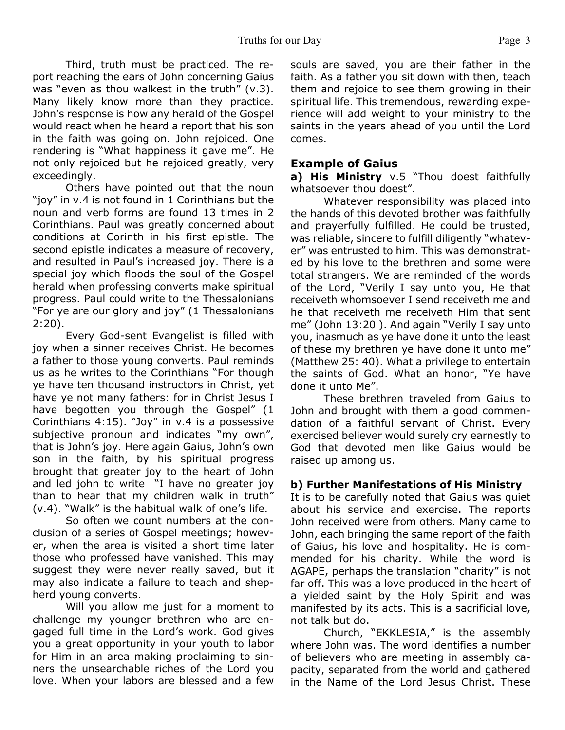Third, truth must be practiced. The report reaching the ears of John concerning Gaius was "even as thou walkest in the truth" (v.3). Many likely know more than they practice. John's response is how any herald of the Gospel would react when he heard a report that his son in the faith was going on. John rejoiced. One rendering is "What happiness it gave me". He not only rejoiced but he rejoiced greatly, very exceedingly.

Others have pointed out that the noun "joy" in v.4 is not found in 1 Corinthians but the noun and verb forms are found 13 times in 2 Corinthians. Paul was greatly concerned about conditions at Corinth in his first epistle. The second epistle indicates a measure of recovery, and resulted in Paul's increased joy. There is a special joy which floods the soul of the Gospel herald when professing converts make spiritual progress. Paul could write to the Thessalonians "For ye are our glory and joy" (1 Thessalonians 2:20).

Every God-sent Evangelist is filled with joy when a sinner receives Christ. He becomes a father to those young converts. Paul reminds us as he writes to the Corinthians "For though ye have ten thousand instructors in Christ, yet have ye not many fathers: for in Christ Jesus I have begotten you through the Gospel" (1 Corinthians 4:15). "Joy" in v.4 is a possessive subjective pronoun and indicates "my own", that is John's joy. Here again Gaius, John's own son in the faith, by his spiritual progress brought that greater joy to the heart of John and led john to write "I have no greater joy than to hear that my children walk in truth" (v.4). "Walk" is the habitual walk of one's life.

 So often we count numbers at the conclusion of a series of Gospel meetings; however, when the area is visited a short time later those who professed have vanished. This may suggest they were never really saved, but it may also indicate a failure to teach and shepherd young converts.

Will you allow me just for a moment to challenge my younger brethren who are engaged full time in the Lord's work. God gives you a great opportunity in your youth to labor for Him in an area making proclaiming to sinners the unsearchable riches of the Lord you love. When your labors are blessed and a few souls are saved, you are their father in the faith. As a father you sit down with then, teach them and rejoice to see them growing in their spiritual life. This tremendous, rewarding experience will add weight to your ministry to the saints in the years ahead of you until the Lord comes.

#### **Example of Gaius**

**a) His Ministry** v.5 "Thou doest faithfully whatsoever thou doest".

 Whatever responsibility was placed into the hands of this devoted brother was faithfully and prayerfully fulfilled. He could be trusted, was reliable, sincere to fulfill diligently "whatever" was entrusted to him. This was demonstrated by his love to the brethren and some were total strangers. We are reminded of the words of the Lord, "Verily I say unto you, He that receiveth whomsoever I send receiveth me and he that receiveth me receiveth Him that sent me" (John 13:20 ). And again "Verily I say unto you, inasmuch as ye have done it unto the least of these my brethren ye have done it unto me" (Matthew 25: 40). What a privilege to entertain the saints of God. What an honor, "Ye have done it unto Me".

These brethren traveled from Gaius to John and brought with them a good commendation of a faithful servant of Christ. Every exercised believer would surely cry earnestly to God that devoted men like Gaius would be raised up among us.

#### **b) Further Manifestations of His Ministry**

It is to be carefully noted that Gaius was quiet about his service and exercise. The reports John received were from others. Many came to John, each bringing the same report of the faith of Gaius, his love and hospitality. He is commended for his charity. While the word is AGAPE, perhaps the translation "charity" is not far off. This was a love produced in the heart of a yielded saint by the Holy Spirit and was manifested by its acts. This is a sacrificial love, not talk but do.

 Church, "EKKLESIA," is the assembly where John was. The word identifies a number of believers who are meeting in assembly capacity, separated from the world and gathered in the Name of the Lord Jesus Christ. These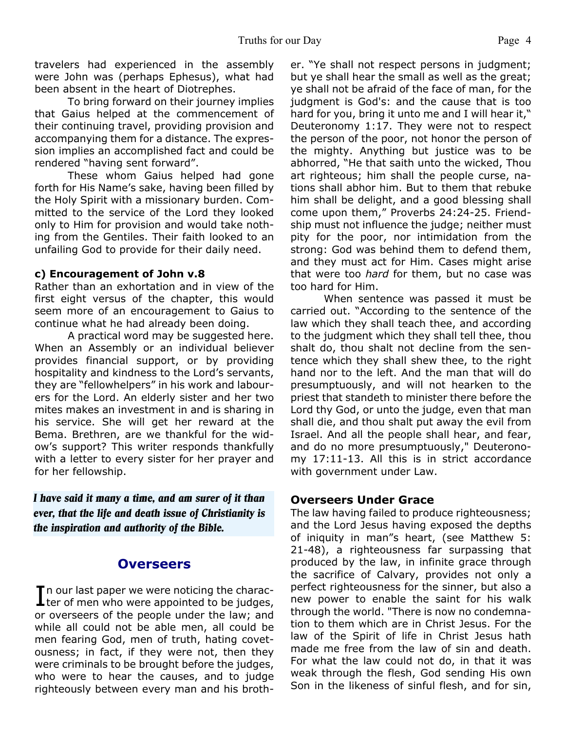travelers had experienced in the assembly were John was (perhaps Ephesus), what had been absent in the heart of Diotrephes.

 To bring forward on their journey implies that Gaius helped at the commencement of their continuing travel, providing provision and accompanying them for a distance. The expression implies an accomplished fact and could be rendered "having sent forward".

 These whom Gaius helped had gone forth for His Name's sake, having been filled by the Holy Spirit with a missionary burden. Committed to the service of the Lord they looked only to Him for provision and would take nothing from the Gentiles. Their faith looked to an unfailing God to provide for their daily need.

#### **c) Encouragement of John v.8**

Rather than an exhortation and in view of the first eight versus of the chapter, this would seem more of an encouragement to Gaius to continue what he had already been doing.

 A practical word may be suggested here. When an Assembly or an individual believer provides financial support, or by providing hospitality and kindness to the Lord's servants, they are "fellowhelpers" in his work and labourers for the Lord. An elderly sister and her two mites makes an investment in and is sharing in his service. She will get her reward at the Bema. Brethren, are we thankful for the widow's support? This writer responds thankfully with a letter to every sister for her prayer and for her fellowship.

*I have said it many a time, and am surer of it than ever, that the life and death issue of Christianity is the inspiration and authority of the Bible.*

# **Overseers**

In our last paper we were noticing the charac-<br>least of men who were appointed to be judges,  $\mathsf T$ n our last paper we were noticing the characor overseers of the people under the law; and while all could not be able men, all could be men fearing God, men of truth, hating covetousness; in fact, if they were not, then they were criminals to be brought before the judges, who were to hear the causes, and to judge righteously between every man and his brother. "Ye shall not respect persons in judgment; but ye shall hear the small as well as the great; ye shall not be afraid of the face of man, for the judgment is God's: and the cause that is too hard for you, bring it unto me and I will hear it," Deuteronomy 1:17. They were not to respect the person of the poor, not honor the person of the mighty. Anything but justice was to be abhorred, "He that saith unto the wicked, Thou art righteous; him shall the people curse, nations shall abhor him. But to them that rebuke him shall be delight, and a good blessing shall come upon them," Proverbs 24:24-25. Friendship must not influence the judge; neither must pity for the poor, nor intimidation from the strong: God was behind them to defend them, and they must act for Him. Cases might arise that were too *hard* for them, but no case was too hard for Him.

When sentence was passed it must be carried out. "According to the sentence of the law which they shall teach thee, and according to the judgment which they shall tell thee, thou shalt do, thou shalt not decline from the sentence which they shall shew thee, to the right hand nor to the left. And the man that will do presumptuously, and will not hearken to the priest that standeth to minister there before the Lord thy God, or unto the judge, even that man shall die, and thou shalt put away the evil from Israel. And all the people shall hear, and fear, and do no more presumptuously," Deuteronomy 17:11-13. All this is in strict accordance with government under Law.

#### **Overseers Under Grace**

The law having failed to produce righteousness; and the Lord Jesus having exposed the depths of iniquity in man"s heart, (see Matthew 5: 21-48), a righteousness far surpassing that produced by the law, in infinite grace through the sacrifice of Calvary, provides not only a perfect righteousness for the sinner, but also a new power to enable the saint for his walk through the world. "There is now no condemnation to them which are in Christ Jesus. For the law of the Spirit of life in Christ Jesus hath made me free from the law of sin and death. For what the law could not do, in that it was weak through the flesh, God sending His own Son in the likeness of sinful flesh, and for sin,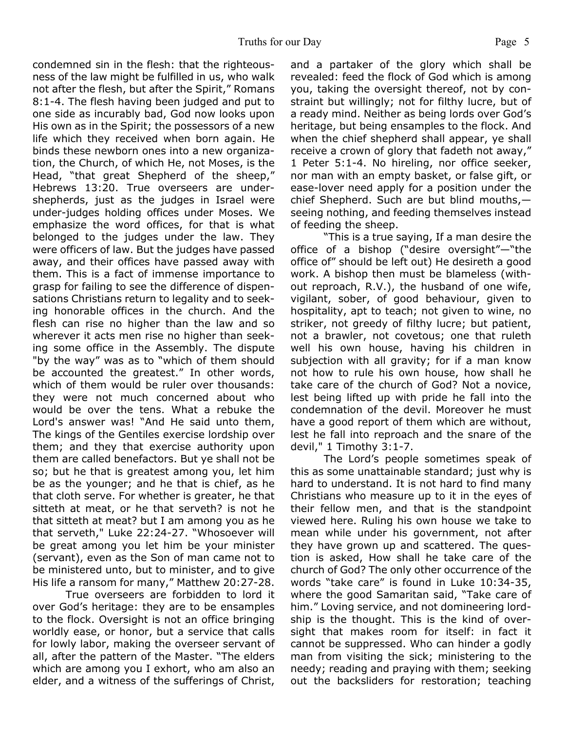condemned sin in the flesh: that the righteousness of the law might be fulfilled in us, who walk not after the flesh, but after the Spirit," Romans 8:1-4. The flesh having been judged and put to one side as incurably bad, God now looks upon His own as in the Spirit; the possessors of a new life which they received when born again. He binds these newborn ones into a new organization, the Church, of which He, not Moses, is the Head, "that great Shepherd of the sheep," Hebrews 13:20. True overseers are undershepherds, just as the judges in Israel were under-judges holding offices under Moses. We emphasize the word offices, for that is what belonged to the judges under the law. They were officers of law. But the judges have passed away, and their offices have passed away with them. This is a fact of immense importance to grasp for failing to see the difference of dispensations Christians return to legality and to seeking honorable offices in the church. And the flesh can rise no higher than the law and so wherever it acts men rise no higher than seeking some office in the Assembly. The dispute "by the way" was as to "which of them should be accounted the greatest." In other words, which of them would be ruler over thousands: they were not much concerned about who would be over the tens. What a rebuke the Lord's answer was! "And He said unto them, The kings of the Gentiles exercise lordship over them; and they that exercise authority upon them are called benefactors. But ye shall not be so; but he that is greatest among you, let him be as the younger; and he that is chief, as he that cloth serve. For whether is greater, he that sitteth at meat, or he that serveth? is not he that sitteth at meat? but I am among you as he that serveth," Luke 22:24-27. "Whosoever will be great among you let him be your minister (servant), even as the Son of man came not to be ministered unto, but to minister, and to give His life a ransom for many," Matthew 20:27-28.

True overseers are forbidden to lord it over God's heritage: they are to be ensamples to the flock. Oversight is not an office bringing worldly ease, or honor, but a service that calls for lowly labor, making the overseer servant of all, after the pattern of the Master. "The elders which are among you I exhort, who am also an elder, and a witness of the sufferings of Christ,

and a partaker of the glory which shall be revealed: feed the flock of God which is among you, taking the oversight thereof, not by constraint but willingly; not for filthy lucre, but of a ready mind. Neither as being lords over God's heritage, but being ensamples to the flock. And when the chief shepherd shall appear, ye shall receive a crown of glory that fadeth not away," 1 Peter 5:1-4. No hireling, nor office seeker, nor man with an empty basket, or false gift, or ease-lover need apply for a position under the chief Shepherd. Such are but blind mouths, seeing nothing, and feeding themselves instead of feeding the sheep.

"This is a true saying, If a man desire the office of a bishop ("desire oversight"—"the office of" should be left out) He desireth a good work. A bishop then must be blameless (without reproach, R.V.), the husband of one wife, vigilant, sober, of good behaviour, given to hospitality, apt to teach; not given to wine, no striker, not greedy of filthy lucre; but patient, not a brawler, not covetous; one that ruleth well his own house, having his children in subjection with all gravity; for if a man know not how to rule his own house, how shall he take care of the church of God? Not a novice, lest being lifted up with pride he fall into the condemnation of the devil. Moreover he must have a good report of them which are without, lest he fall into reproach and the snare of the devil," 1 Timothy 3:1-7.

The Lord's people sometimes speak of this as some unattainable standard; just why is hard to understand. It is not hard to find many Christians who measure up to it in the eyes of their fellow men, and that is the standpoint viewed here. Ruling his own house we take to mean while under his government, not after they have grown up and scattered. The question is asked, How shall he take care of the church of God? The only other occurrence of the words "take care" is found in Luke 10:34-35, where the good Samaritan said, "Take care of him." Loving service, and not domineering lordship is the thought. This is the kind of oversight that makes room for itself: in fact it cannot be suppressed. Who can hinder a godly man from visiting the sick; ministering to the needy; reading and praying with them; seeking out the backsliders for restoration; teaching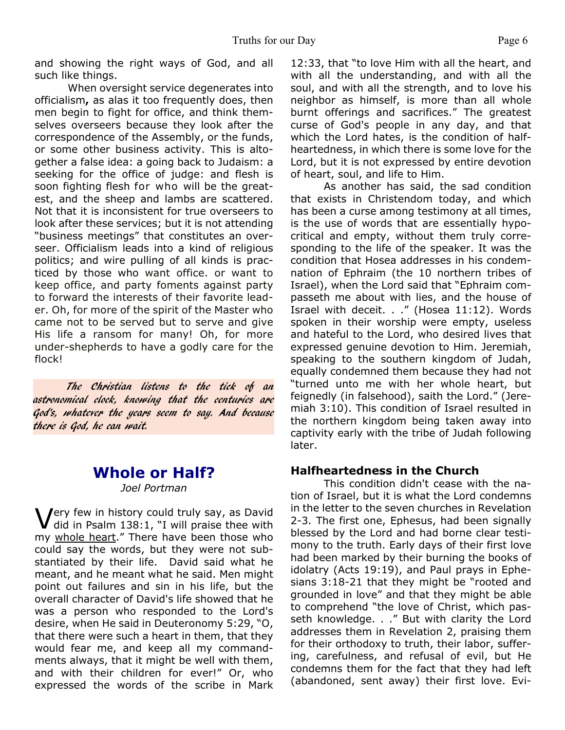and showing the right ways of God, and all such like things.

When oversight service degenerates into officialism**,** as alas it too frequently does, then men begin to fight for office, and think themselves overseers because they look after the correspondence of the Assembly, or the funds, or some other business activity. This is altogether a false idea: a going back to Judaism: a seeking for the office of judge: and flesh is soon fighting flesh for who will be the greatest, and the sheep and lambs are scattered. Not that it is inconsistent for true overseers to look after these services; but it is not attending "business meetings" that constitutes an overseer. Officialism leads into a kind of religious politics; and wire pulling of all kinds is practiced by those who want office. or want to keep office, and party foments against party to forward the interests of their favorite leader. Oh, for more of the spirit of the Master who came not to be served but to serve and give His life a ransom for many! Oh, for more under-shepherds to have a godly care for the flock!

The Christian listens to the tick of an astronomical clock, knowing that the centuries are God's, whatever the years seem to say. And because there is God, he can wait.

#### **Whole or Half?** *Joel Portman*

Very few in history could truly say, as David<br>did in Psalm 138:1, "I will praise thee with did in Psalm 138:1, "I will praise thee with my whole heart." There have been those who could say the words, but they were not substantiated by their life. David said what he meant, and he meant what he said. Men might point out failures and sin in his life, but the overall character of David's life showed that he was a person who responded to the Lord's desire, when He said in Deuteronomy 5:29, "O, that there were such a heart in them, that they would fear me, and keep all my commandments always, that it might be well with them, and with their children for ever!" Or, who expressed the words of the scribe in Mark

12:33, that "to love Him with all the heart, and with all the understanding, and with all the soul, and with all the strength, and to love his neighbor as himself, is more than all whole burnt offerings and sacrifices." The greatest curse of God's people in any day, and that which the Lord hates, is the condition of halfheartedness, in which there is some love for the Lord, but it is not expressed by entire devotion of heart, soul, and life to Him.

 As another has said, the sad condition that exists in Christendom today, and which has been a curse among testimony at all times, is the use of words that are essentially hypocritical and empty, without them truly corresponding to the life of the speaker. It was the condition that Hosea addresses in his condemnation of Ephraim (the 10 northern tribes of Israel), when the Lord said that "Ephraim compasseth me about with lies, and the house of Israel with deceit. . ." (Hosea 11:12). Words spoken in their worship were empty, useless and hateful to the Lord, who desired lives that expressed genuine devotion to Him. Jeremiah, speaking to the southern kingdom of Judah, equally condemned them because they had not "turned unto me with her whole heart, but feignedly (in falsehood), saith the Lord." (Jeremiah 3:10). This condition of Israel resulted in the northern kingdom being taken away into captivity early with the tribe of Judah following later.

#### **Halfheartedness in the Church**

 This condition didn't cease with the nation of Israel, but it is what the Lord condemns in the letter to the seven churches in Revelation 2-3. The first one, Ephesus, had been signally blessed by the Lord and had borne clear testimony to the truth. Early days of their first love had been marked by their burning the books of idolatry (Acts 19:19), and Paul prays in Ephesians 3:18-21 that they might be "rooted and grounded in love" and that they might be able to comprehend "the love of Christ, which passeth knowledge. . ." But with clarity the Lord addresses them in Revelation 2, praising them for their orthodoxy to truth, their labor, suffering, carefulness, and refusal of evil, but He condemns them for the fact that they had left (abandoned, sent away) their first love. Evi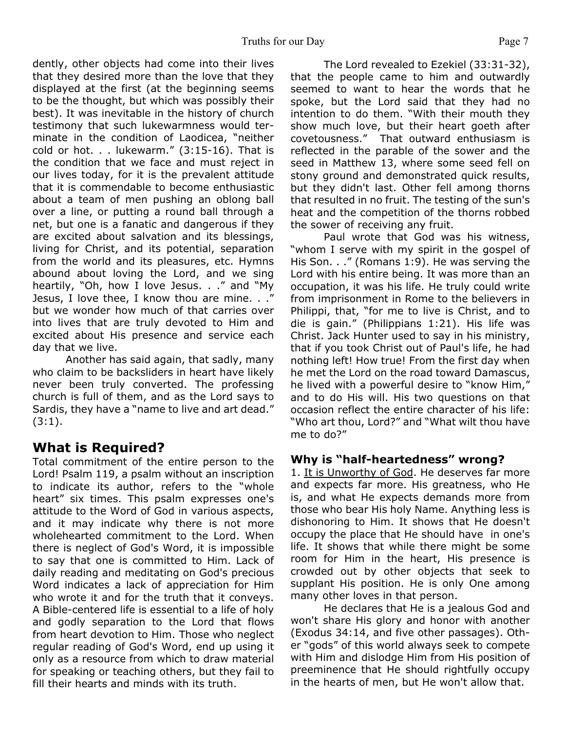dently, other objects had come into their lives that they desired more than the love that they displayed at the first (at the beginning seems to be the thought, but which was possibly their best). It was inevitable in the history of church testimony that such lukewarmness would terminate in the condition of Laodicea, "neither cold or hot.  $\ldots$  lukewarm." (3:15-16). That is the condition that we face and must reject in our lives today, for it is the prevalent attitude that it is commendable to become enthusiastic about a team of men pushing an oblong ball over a line, or putting a round ball through a net, but one is a fanatic and dangerous if they are excited about salvation and its blessings, living for Christ, and its potential, separation from the world and its pleasures, etc. Hymns abound about loving the Lord, and we sing heartily, "Oh, how I love Jesus. . ." and "My Jesus, I love thee, I know thou are mine. . ." but we wonder how much of that carries over into lives that are truly devoted to Him and excited about His presence and service each day that we live.

 Another has said again, that sadly, many who claim to be backsliders in heart have likely never been truly converted. The professing church is full of them, and as the Lord says to Sardis, they have a "name to live and art dead." (3:1).

# **What is Required?**

Total commitment of the entire person to the Lord! Psalm 119, a psalm without an inscription to indicate its author, refers to the "whole heart" six times. This psalm expresses one's attitude to the Word of God in various aspects, and it may indicate why there is not more wholehearted commitment to the Lord. When there is neglect of God's Word, it is impossible to say that one is committed to Him. Lack of daily reading and meditating on God's precious Word indicates a lack of appreciation for Him who wrote it and for the truth that it conveys. A Bible-centered life is essential to a life of holy and godly separation to the Lord that flows from heart devotion to Him. Those who neglect regular reading of God's Word, end up using it only as a resource from which to draw material for speaking or teaching others, but they fail to fill their hearts and minds with its truth.

 The Lord revealed to Ezekiel (33:31-32), that the people came to him and outwardly seemed to want to hear the words that he spoke, but the Lord said that they had no intention to do them. "With their mouth they show much love, but their heart goeth after covetousness." That outward enthusiasm is reflected in the parable of the sower and the seed in Matthew 13, where some seed fell on stony ground and demonstrated quick results, but they didn't last. Other fell among thorns that resulted in no fruit. The testing of the sun's heat and the competition of the thorns robbed the sower of receiving any fruit.

 Paul wrote that God was his witness, "whom I serve with my spirit in the gospel of His Son. . ." (Romans 1:9). He was serving the Lord with his entire being. It was more than an occupation, it was his life. He truly could write from imprisonment in Rome to the believers in Philippi, that, "for me to live is Christ, and to die is gain." (Philippians 1:21). His life was Christ. Jack Hunter used to say in his ministry, that if you took Christ out of Paul's life, he had nothing left! How true! From the first day when he met the Lord on the road toward Damascus, he lived with a powerful desire to "know Him," and to do His will. His two questions on that occasion reflect the entire character of his life: "Who art thou, Lord?" and "What wilt thou have me to do?"

#### **Why is "half-heartedness" wrong?**

1. It is Unworthy of God. He deserves far more and expects far more. His greatness, who He is, and what He expects demands more from those who bear His holy Name. Anything less is dishonoring to Him. It shows that He doesn't occupy the place that He should have in one's life. It shows that while there might be some room for Him in the heart, His presence is crowded out by other objects that seek to supplant His position. He is only One among many other loves in that person.

 He declares that He is a jealous God and won't share His glory and honor with another (Exodus 34:14, and five other passages). Other "gods" of this world always seek to compete with Him and dislodge Him from His position of preeminence that He should rightfully occupy in the hearts of men, but He won't allow that.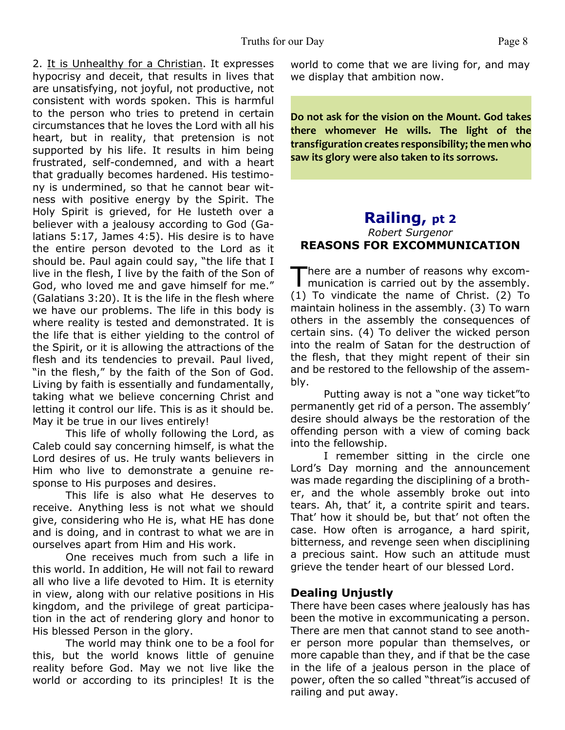2. It is Unhealthy for a Christian. It expresses hypocrisy and deceit, that results in lives that are unsatisfying, not joyful, not productive, not consistent with words spoken. This is harmful to the person who tries to pretend in certain circumstances that he loves the Lord with all his heart, but in reality, that pretension is not supported by his life. It results in him being frustrated, self-condemned, and with a heart that gradually becomes hardened. His testimony is undermined, so that he cannot bear witness with positive energy by the Spirit. The Holy Spirit is grieved, for He lusteth over a believer with a jealousy according to God (Galatians 5:17, James 4:5). His desire is to have the entire person devoted to the Lord as it should be. Paul again could say, "the life that I live in the flesh, I live by the faith of the Son of God, who loved me and gave himself for me." (Galatians 3:20). It is the life in the flesh where we have our problems. The life in this body is where reality is tested and demonstrated. It is the life that is either yielding to the control of the Spirit, or it is allowing the attractions of the flesh and its tendencies to prevail. Paul lived, "in the flesh," by the faith of the Son of God. Living by faith is essentially and fundamentally, taking what we believe concerning Christ and letting it control our life. This is as it should be. May it be true in our lives entirely!

 This life of wholly following the Lord, as Caleb could say concerning himself, is what the Lord desires of us. He truly wants believers in Him who live to demonstrate a genuine response to His purposes and desires.

 This life is also what He deserves to receive. Anything less is not what we should give, considering who He is, what HE has done and is doing, and in contrast to what we are in ourselves apart from Him and His work.

 One receives much from such a life in this world. In addition, He will not fail to reward all who live a life devoted to Him. It is eternity in view, along with our relative positions in His kingdom, and the privilege of great participation in the act of rendering glory and honor to His blessed Person in the glory.

 The world may think one to be a fool for this, but the world knows little of genuine reality before God. May we not live like the world or according to its principles! It is the

world to come that we are living for, and may we display that ambition now.

**Do not ask for the vision on the Mount. God takes there whomever He wills. The light of the transfiguration creates responsibility; the men who saw its glory were also taken to its sorrows.**

#### **Railing, pt 2** *Robert Surgenor* **REASONS FOR EXCOMMUNICATION**

There are a number of reasons why excom-<br>munication is carried out by the assembly. here are a number of reasons why excom-(1) To vindicate the name of Christ. (2) To maintain holiness in the assembly. (3) To warn others in the assembly the consequences of certain sins. (4) To deliver the wicked person into the realm of Satan for the destruction of the flesh, that they might repent of their sin and be restored to the fellowship of the assembly.

 Putting away is not a "one way ticket"to permanently get rid of a person. The assembly' desire should always be the restoration of the offending person with a view of coming back into the fellowship.

 I remember sitting in the circle one Lord's Day morning and the announcement was made regarding the disciplining of a brother, and the whole assembly broke out into tears. Ah, that' it, a contrite spirit and tears. That' how it should be, but that' not often the case. How often is arrogance, a hard spirit, bitterness, and revenge seen when disciplining a precious saint. How such an attitude must grieve the tender heart of our blessed Lord.

#### **Dealing Unjustly**

There have been cases where jealously has has been the motive in excommunicating a person. There are men that cannot stand to see another person more popular than themselves, or more capable than they, and if that be the case in the life of a jealous person in the place of power, often the so called "threat"is accused of railing and put away.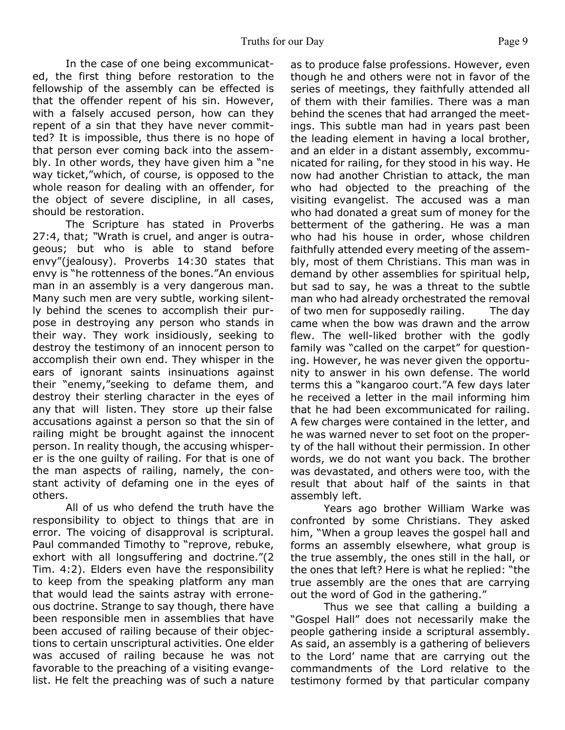In the case of one being excommunicated, the first thing before restoration to the fellowship of the assembly can be effected is that the offender repent of his sin. However, with a falsely accused person, how can they repent of a sin that they have never committed? It is impossible, thus there is no hope of that person ever coming back into the assembly. In other words, they have given him a "ne way ticket,"which, of course, is opposed to the whole reason for dealing with an offender, for the object of severe discipline, in all cases, should be restoration.

 The Scripture has stated in Proverbs 27:4, that; *"*Wrath is cruel, and anger is outrageous; but who is able to stand before envy"(jealousy). Proverbs 14:30 states that envy is "he rottenness of the bones."An envious man in an assembly is a very dangerous man. Many such men are very subtle, working silently behind the scenes to accomplish their purpose in destroying any person who stands in their way. They work insidiously, seeking to destroy the testimony of an innocent person to accomplish their own end. They whisper in the ears of ignorant saints insinuations against their "enemy,"seeking to defame them, and destroy their sterling character in the eyes of any that will listen. They store up their false accusations against a person so that the sin of railing might be brought against the innocent person. In reality though, the accusing whisperer is the one guilty of railing. For that is one of the man aspects of railing, namely, the constant activity of defaming one in the eyes of others.

 All of us who defend the truth have the responsibility to object to things that are in error. The voicing of disapproval is scriptural. Paul commanded Timothy to "reprove, rebuke, exhort with all longsuffering and doctrine."(2 Tim. 4:2). Elders even have the responsibility to keep from the speaking platform any man that would lead the saints astray with erroneous doctrine. Strange to say though, there have been responsible men in assemblies that have been accused of railing because of their objections to certain unscriptural activities. One elder was accused of railing because he was not favorable to the preaching of a visiting evangelist. He felt the preaching was of such a nature

as to produce false professions. However, even though he and others were not in favor of the series of meetings, they faithfully attended all of them with their families. There was a man behind the scenes that had arranged the meetings. This subtle man had in years past been the leading element in having a local brother, and an elder in a distant assembly, excommunicated for railing, for they stood in his way. He now had another Christian to attack, the man who had objected to the preaching of the visiting evangelist. The accused was a man who had donated a great sum of money for the betterment of the gathering. He was a man who had his house in order, whose children faithfully attended every meeting of the assembly, most of them Christians. This man was in demand by other assemblies for spiritual help, but sad to say, he was a threat to the subtle man who had already orchestrated the removal of two men for supposedly railing. The day came when the bow was drawn and the arrow flew. The well-liked brother with the godly family was "called on the carpet" for questioning. However, he was never given the opportunity to answer in his own defense. The world terms this a "kangaroo court."A few days later he received a letter in the mail informing him that he had been excommunicated for railing. A few charges were contained in the letter, and he was warned never to set foot on the property of the hall without their permission. In other words, we do not want you back. The brother was devastated, and others were too, with the result that about half of the saints in that assembly left.

 Years ago brother William Warke was confronted by some Christians. They asked him, "When a group leaves the gospel hall and forms an assembly elsewhere, what group is the true assembly, the ones still in the hall, or the ones that left? Here is what he replied: "the true assembly are the ones that are carrying out the word of God in the gathering."

 Thus we see that calling a building a "Gospel Hall" does not necessarily make the people gathering inside a scriptural assembly. As said, an assembly is a gathering of believers to the Lord' name that are carrying out the commandments of the Lord relative to the testimony formed by that particular company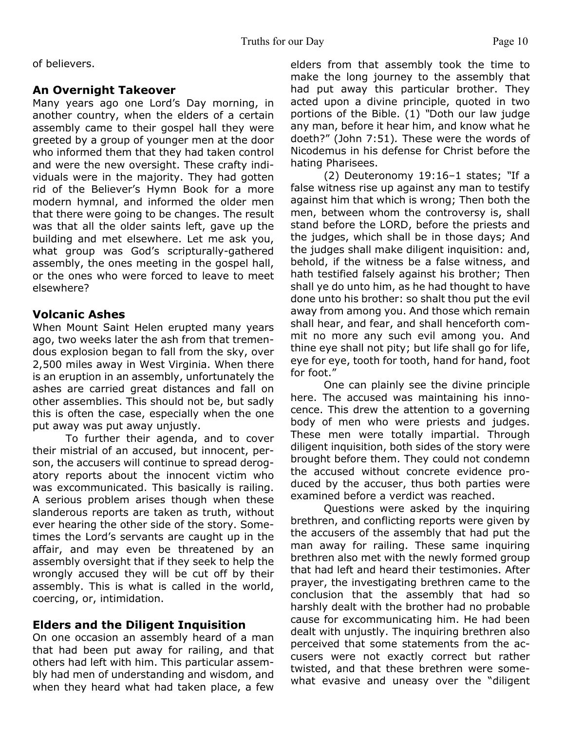of believers.

### **An Overnight Takeover**

Many years ago one Lord's Day morning, in another country, when the elders of a certain assembly came to their gospel hall they were greeted by a group of younger men at the door who informed them that they had taken control and were the new oversight. These crafty individuals were in the majority. They had gotten rid of the Believer's Hymn Book for a more modern hymnal, and informed the older men that there were going to be changes. The result was that all the older saints left, gave up the building and met elsewhere. Let me ask you, what group was God's scripturally-gathered assembly, the ones meeting in the gospel hall, or the ones who were forced to leave to meet elsewhere?

#### **Volcanic Ashes**

When Mount Saint Helen erupted many years ago, two weeks later the ash from that tremendous explosion began to fall from the sky, over 2,500 miles away in West Virginia. When there is an eruption in an assembly, unfortunately the ashes are carried great distances and fall on other assemblies. This should not be, but sadly this is often the case, especially when the one put away was put away unjustly.

 To further their agenda, and to cover their mistrial of an accused, but innocent, person, the accusers will continue to spread derogatory reports about the innocent victim who was excommunicated. This basically is railing. A serious problem arises though when these slanderous reports are taken as truth, without ever hearing the other side of the story. Sometimes the Lord's servants are caught up in the affair, and may even be threatened by an assembly oversight that if they seek to help the wrongly accused they will be cut off by their assembly. This is what is called in the world, coercing, or, intimidation.

# **Elders and the Diligent Inquisition**

On one occasion an assembly heard of a man that had been put away for railing, and that others had left with him. This particular assembly had men of understanding and wisdom, and when they heard what had taken place, a few

elders from that assembly took the time to make the long journey to the assembly that had put away this particular brother. They acted upon a divine principle, quoted in two portions of the Bible. (1) *"*Doth our law judge any man, before it hear him, and know what he doeth?" (John 7:51)*.* These were the words of Nicodemus in his defense for Christ before the hating Pharisees.

(2) Deuteronomy 19:16–1 states; *"*If a false witness rise up against any man to testify against him that which is wrong; Then both the men, between whom the controversy is, shall stand before the LORD, before the priests and the judges, which shall be in those days; And the judges shall make diligent inquisition: and, behold, if the witness be a false witness, and hath testified falsely against his brother; Then shall ye do unto him, as he had thought to have done unto his brother: so shalt thou put the evil away from among you. And those which remain shall hear, and fear, and shall henceforth commit no more any such evil among you. And thine eye shall not pity; but life shall go for life, eye for eye, tooth for tooth, hand for hand, foot for foot."

 One can plainly see the divine principle here. The accused was maintaining his innocence. This drew the attention to a governing body of men who were priests and judges. These men were totally impartial. Through diligent inquisition, both sides of the story were brought before them. They could not condemn the accused without concrete evidence produced by the accuser, thus both parties were examined before a verdict was reached.

 Questions were asked by the inquiring brethren, and conflicting reports were given by the accusers of the assembly that had put the man away for railing. These same inquiring brethren also met with the newly formed group that had left and heard their testimonies. After prayer, the investigating brethren came to the conclusion that the assembly that had so harshly dealt with the brother had no probable cause for excommunicating him. He had been dealt with unjustly. The inquiring brethren also perceived that some statements from the accusers were not exactly correct but rather twisted, and that these brethren were somewhat evasive and uneasy over the "diligent